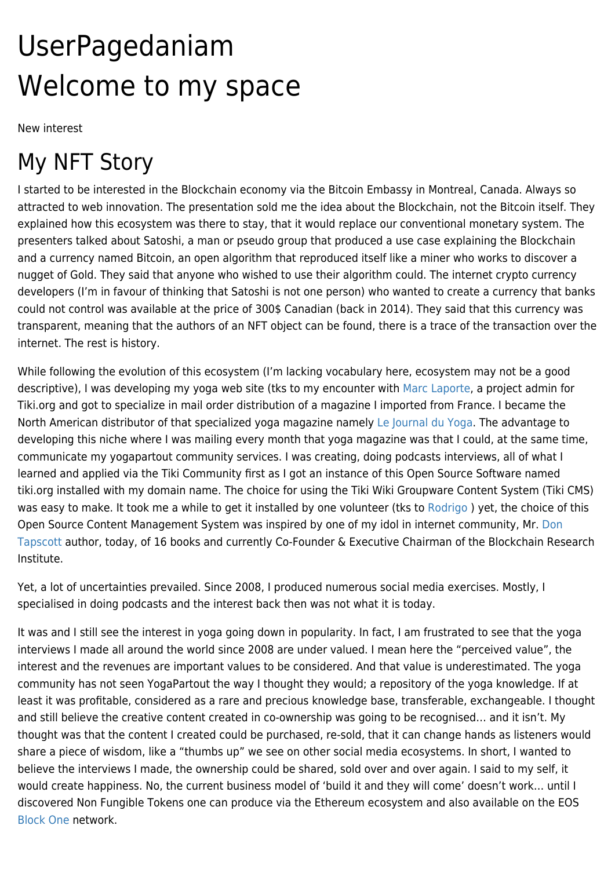# UserPagedaniam Welcome to my space

New interest

### My NFT Story

I started to be interested in the Blockchain economy via the Bitcoin Embassy in Montreal, Canada. Always so attracted to web innovation. The presentation sold me the idea about the Blockchain, not the Bitcoin itself. They explained how this ecosystem was there to stay, that it would replace our conventional monetary system. The presenters talked about Satoshi, a man or pseudo group that produced a use case explaining the Blockchain and a currency named Bitcoin, an open algorithm that reproduced itself like a miner who works to discover a nugget of Gold. They said that anyone who wished to use their algorithm could. The internet crypto currency developers (I'm in favour of thinking that Satoshi is not one person) who wanted to create a currency that banks could not control was available at the price of 300\$ Canadian (back in 2014). They said that this currency was transparent, meaning that the authors of an NFT object can be found, there is a trace of the transaction over the internet. The rest is history.

While following the evolution of this ecosystem (I'm lacking vocabulary here, ecosystem may not be a good descriptive), I was developing my yoga web site (tks to my encounter with [Marc Laporte](https://tiki.org/UserPagemarclaporte), a project admin for Tiki.org and got to specialize in mail order distribution of a magazine I imported from France. I became the North American distributor of that specialized yoga magazine namely [Le Journal du Yoga.](https://lejournalduyoga.com) The advantage to developing this niche where I was mailing every month that yoga magazine was that I could, at the same time, communicate my yogapartout community services. I was creating, doing podcasts interviews, all of what I learned and applied via the Tiki Community first as I got an instance of this Open Source Software named tiki.org installed with my domain name. The choice for using the Tiki Wiki Groupware Content System (Tiki CMS) was easy to make. It took me a while to get it installed by one volunteer (tks to Rodrigo) yet, the choice of this Open Source Content Management System was inspired by one of my idol in internet community, Mr. [Don](https://dontapscott.com) [Tapscott](https://dontapscott.com) author, today, of 16 books and currently Co-Founder & Executive Chairman of the Blockchain Research Institute.

Yet, a lot of uncertainties prevailed. Since 2008, I produced numerous social media exercises. Mostly, I specialised in doing podcasts and the interest back then was not what it is today.

It was and I still see the interest in yoga going down in popularity. In fact, I am frustrated to see that the yoga interviews I made all around the world since 2008 are under valued. I mean here the "perceived value", the interest and the revenues are important values to be considered. And that value is underestimated. The yoga community has not seen YogaPartout the way I thought they would; a repository of the yoga knowledge. If at least it was profitable, considered as a rare and precious knowledge base, transferable, exchangeable. I thought and still believe the creative content created in co-ownership was going to be recognised… and it isn't. My thought was that the content I created could be purchased, re-sold, that it can change hands as listeners would share a piece of wisdom, like a "thumbs up" we see on other social media ecosystems. In short, I wanted to believe the interviews I made, the ownership could be shared, sold over and over again. I said to my self, it would create happiness. No, the current business model of 'build it and they will come' doesn't work… until I discovered Non Fungible Tokens one can produce via the Ethereum ecosystem and also available on the EOS [Block One](https://block.one) network.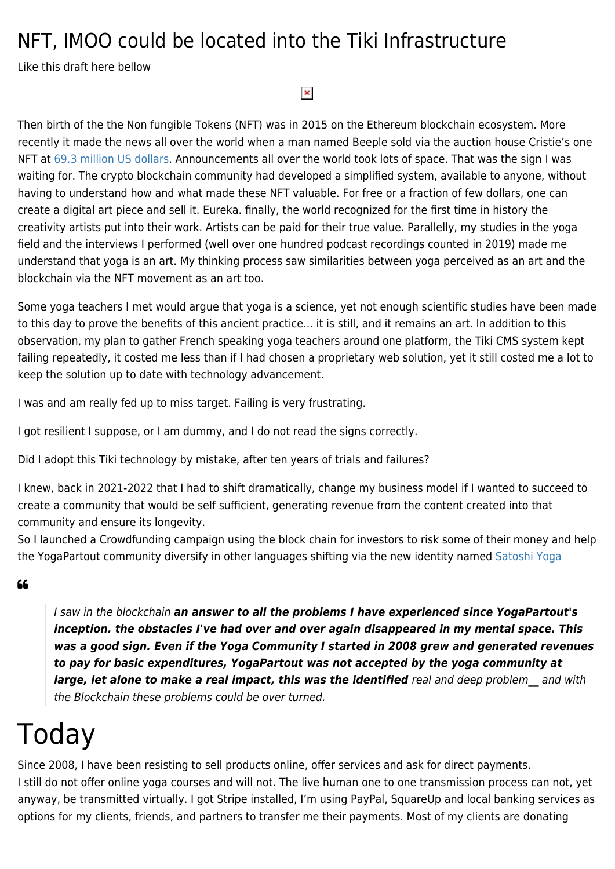### NFT, IMOO could be located into the Tiki Infrastructure

Like this draft here bellow

#### $\pmb{\times}$

Then birth of the the Non fungible Tokens (NFT) was in 2015 on the Ethereum blockchain ecosystem. More recently it made the news all over the world when a man named Beeple sold via the auction house Cristie's one NFT at [69.3 million US dollars.](https://en.wikipedia.org/wiki/List_of_most_expensive_non-fungible_tokens) Announcements all over the world took lots of space. That was the sign I was waiting for. The crypto blockchain community had developed a simplified system, available to anyone, without having to understand how and what made these NFT valuable. For free or a fraction of few dollars, one can create a digital art piece and sell it. Eureka. finally, the world recognized for the first time in history the creativity artists put into their work. Artists can be paid for their true value. Parallelly, my studies in the yoga field and the interviews I performed (well over one hundred podcast recordings counted in 2019) made me understand that yoga is an art. My thinking process saw similarities between yoga perceived as an art and the blockchain via the NFT movement as an art too.

Some yoga teachers I met would argue that yoga is a science, yet not enough scientific studies have been made to this day to prove the benefits of this ancient practice... it is still, and it remains an art. In addition to this observation, my plan to gather French speaking yoga teachers around one platform, the Tiki CMS system kept failing repeatedly, it costed me less than if I had chosen a proprietary web solution, yet it still costed me a lot to keep the solution up to date with technology advancement.

I was and am really fed up to miss target. Failing is very frustrating.

I got resilient I suppose, or I am dummy, and I do not read the signs correctly.

Did I adopt this Tiki technology by mistake, after ten years of trials and failures?

I knew, back in 2021-2022 that I had to shift dramatically, change my business model if I wanted to succeed to create a community that would be self sufficient, generating revenue from the content created into that community and ensure its longevity.

So I launched a Crowdfunding campaign using the block chain for investors to risk some of their money and help the YogaPartout community diversify in other languages shifting via the new identity named [Satoshi Yoga](https://Satoshi.Yoga)

#### $66$

I saw in the blockchain *an answer to all the problems I have experienced since YogaPartout's inception. the obstacles I've had over and over again disappeared in my mental space. This was a good sign. Even if the Yoga Community I started in 2008 grew and generated revenues to pay for basic expenditures, YogaPartout was not accepted by the yoga community at* large, let alone to make a real impact, this was the identified real and deep problem and with the Blockchain these problems could be over turned.

### Today

Since 2008, I have been resisting to sell products online, offer services and ask for direct payments. I still do not offer online yoga courses and will not. The live human one to one transmission process can not, yet anyway, be transmitted virtually. I got Stripe installed, I'm using PayPal, SquareUp and local banking services as options for my clients, friends, and partners to transfer me their payments. Most of my clients are donating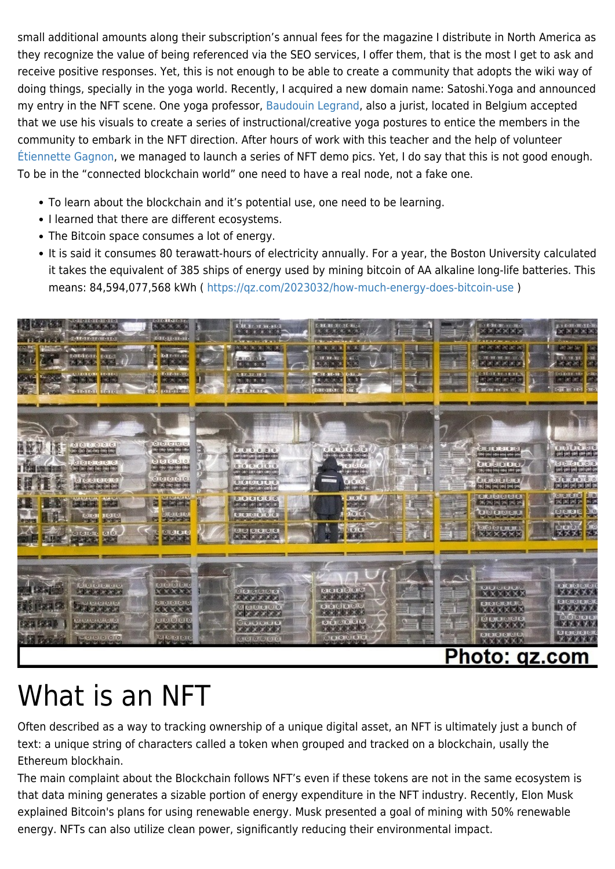small additional amounts along their subscription's annual fees for the magazine I distribute in North America as they recognize the value of being referenced via the SEO services, I offer them, that is the most I get to ask and receive positive responses. Yet, this is not enough to be able to create a community that adopts the wiki way of doing things, specially in the yoga world. Recently, I acquired a new domain name: Satoshi.Yoga and announced my entry in the NFT scene. One yoga professor, [Baudouin Legrand](https://yogapartout.com/Baudouin+Legrand), also a jurist, located in Belgium accepted that we use his visuals to create a series of instructional/creative yoga postures to entice the members in the community to embark in the NFT direction. After hours of work with this teacher and the help of volunteer [Étiennette Gagnon](https://yogapartout.com/AlainEtEtiennette), we managed to launch a series of NFT demo pics. Yet, I do say that this is not good enough. To be in the "connected blockchain world" one need to have a real node, not a fake one.

- To learn about the blockchain and it's potential use, one need to be learning.
- I learned that there are different ecosystems.
- The Bitcoin space consumes a lot of energy.
- It is said it consumes 80 terawatt-hours of electricity annually. For a year, the Boston University calculated it takes the equivalent of 385 ships of energy used by mining bitcoin of AA alkaline long-life batteries. This means: 84,594,077,568 kWh ( <https://qz.com/2023032/how-much-energy-does-bitcoin-use>)



# What is an NFT

Often described as a way to tracking ownership of a unique digital asset, an NFT is ultimately just a bunch of text: a unique string of characters called a token when grouped and tracked on a blockchain, usally the Ethereum blockhain.

The main complaint about the Blockchain follows NFT's even if these tokens are not in the same ecosystem is that data mining generates a sizable portion of energy expenditure in the NFT industry. Recently, Elon Musk explained Bitcoin's plans for using renewable energy. Musk presented a goal of mining with 50% renewable energy. NFTs can also utilize clean power, significantly reducing their environmental impact.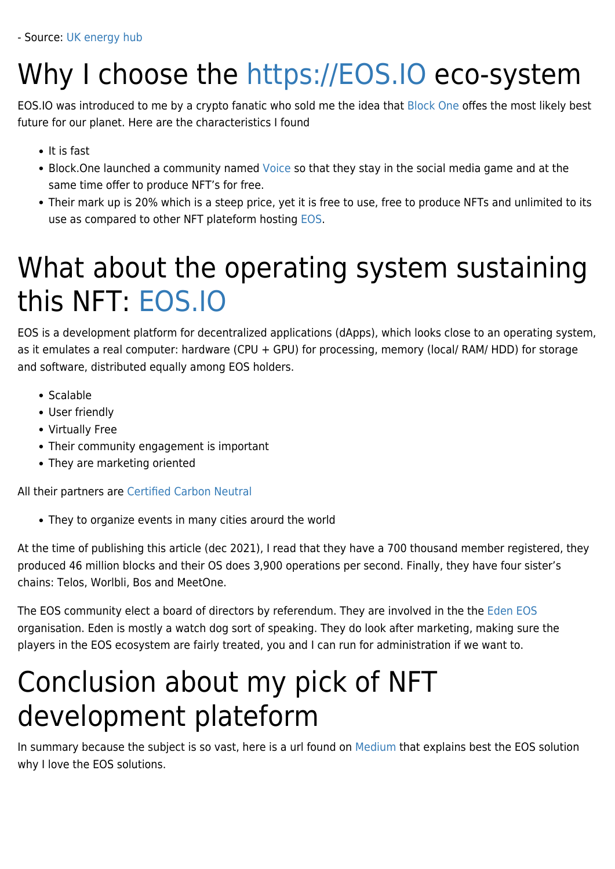# Why I choose the <https://EOS.IO> eco-system

EOS.IO was introduced to me by a crypto fanatic who sold me the idea that [Block One](https://block.one) offes the most likely best future for our planet. Here are the characteristics I found

- It is fast
- Block. One launched a community named [Voice](https://voice.com) so that they stay in the social media game and at the same time offer to produce NFT's for free.
- Their mark up is 20% which is a steep price, yet it is free to use, free to produce NFTs and unlimited to its use as compared to other NFT plateform hosting [EOS.](https://en.wikipedia.org/wiki/EOS.IO)

### What about the operating system sustaining this NFT: [EOS.IO](https://en.wikipedia.org/wiki/EOS.IO)

EOS is a development platform for decentralized applications (dApps), which looks close to an operating system, as it emulates a real computer: hardware (CPU + GPU) for processing, memory (local/ RAM/ HDD) for storage and software, distributed equally among EOS holders.

- Scalable
- User friendly
- Virtually Free
- Their community engagement is important
- They are marketing oriented

All their partners are [Certified Carbon Neutral](https://en.wikipedia.org/wiki/Carbon_neutrality)

They to organize events in many cities arourd the world

At the time of publishing this article (dec 2021), I read that they have a 700 thousand member registered, they produced 46 million blocks and their OS does 3,900 operations per second. Finally, they have four sister's chains: Telos, Worlbli, Bos and MeetOne.

The EOS community elect a board of directors by referendum. They are involved in the the [Eden EOS](https://edeneos.org) organisation. Eden is mostly a watch dog sort of speaking. They do look after marketing, making sure the players in the EOS ecosystem are fairly treated, you and I can run for administration if we want to.

### Conclusion about my pick of NFT development plateform

In summary because the subject is so vast, here is a url found on [Medium](https://medium.datadriveninvestor.com/eos-explained-9dbc83b47ea8) that explains best the EOS solution why I love the EOS solutions.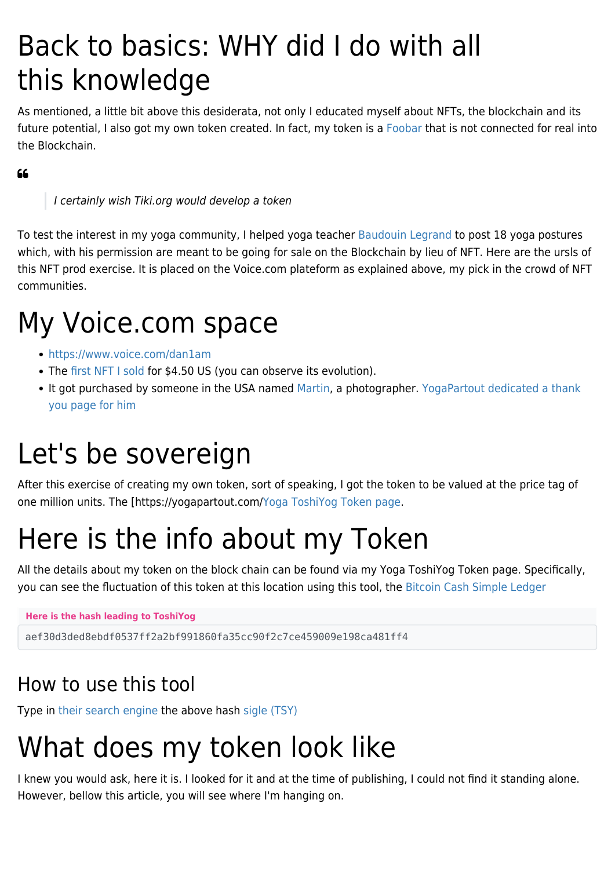### Back to basics: WHY did I do with all this knowledge

As mentioned, a little bit above this desiderata, not only I educated myself about NFTs, the blockchain and its future potential, I also got my own token created. In fact, my token is a [Foobar](https://foobar.protonchain.com) that is not connected for real into the Blockchain.

#### $66$

I certainly wish Tiki.org would develop a token

To test the interest in my yoga community, I helped yoga teacher [Baudouin Legrand](https://yogapartout.com/Baudouin+Legrand) to post 18 yoga postures which, with his permission are meant to be going for sale on the Blockchain by lieu of NFT. Here are the ursls of this NFT prod exercise. It is placed on the Voice.com plateform as explained above, my pick in the crowd of NFT communities.

### My Voice.com space

- <https://www.voice.com/dan1am>
- The [first NFT I sold](https://www.voice.com/creation/100000000003272) for \$4.50 US (you can observe its evolution).
- It got purchased by someone in the USA named [Martin](https://www.voice.com/wayne), a photographer. [YogaPartout dedicated a thank](https://yogapartout.com/Merci+premier+NFT+vendu+-+Thanks+a-to+Wayne+B+-+who+purchased+our+first+NFT?highlight=wayne) [you page for him](https://yogapartout.com/Merci+premier+NFT+vendu+-+Thanks+a-to+Wayne+B+-+who+purchased+our+first+NFT?highlight=wayne)

### Let's be sovereign

After this exercise of creating my own token, sort of speaking, I got the token to be valued at the price tag of one million units. The [https://yogapartout.com/[Yoga ToshiYog Token page](https://yogapartout.com/ToshiYog).

### Here is the info about my Token

All the details about my token on the block chain can be found via my Yoga ToshiYog Token page. Specifically, you can see the fluctuation of this token at this location using this tool, the [Bitcoin Cash Simple Ledger](https://simpleledger.info)

**Here is the hash leading to ToshiYog**

aef30d3ded8ebdf0537ff2a2bf991860fa35cc90f2c7ce459009e198ca481ff4

### How to use this tool

Type in [their search engine](https://simpleledger.info) the above hash [sigle \(TSY\)](https://simpleledger.info/token/aef30d3ded8ebdf0537ff2a2bf991860fa35cc90f2c7ce459009e198ca481ff4)

# What does my token look like

I knew you would ask, here it is. I looked for it and at the time of publishing, I could not find it standing alone. However, bellow this article, you will see where I'm hanging on.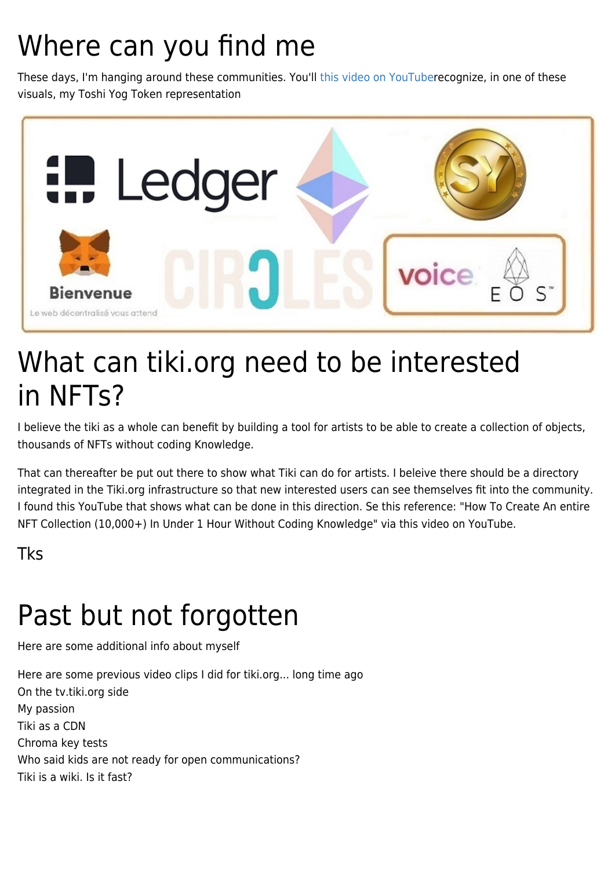### Where can you find me

These days, I'm hanging around these communities. You'll [this video on YouTuber](https://youtu.be/UCxA8sDltMY)ecognize, in one of these visuals, my Toshi Yog Token representation



### What can tiki.org need to be interested in NFTs?

I believe the tiki as a whole can benefit by building a tool for artists to be able to create a collection of objects, thousands of NFTs without coding Knowledge.

That can thereafter be put out there to show what Tiki can do for artists. I beleive there should be a directory integrated in the Tiki.org infrastructure so that new interested users can see themselves fit into the community. I found this YouTube that shows what can be done in this direction. Se this reference: "How To Create An entire NFT Collection (10,000+) In Under 1 Hour Without Coding Knowledge" via this video on YouTube.

Tks

# Past but not forgotten

Here are some additional info about myself

Here are some previous video clips I did for tiki.org... long time ago On the tv.tiki.org side My passion Tiki as a CDN Chroma key tests Who said kids are not ready for open communications? Tiki is a wiki. Is it fast?